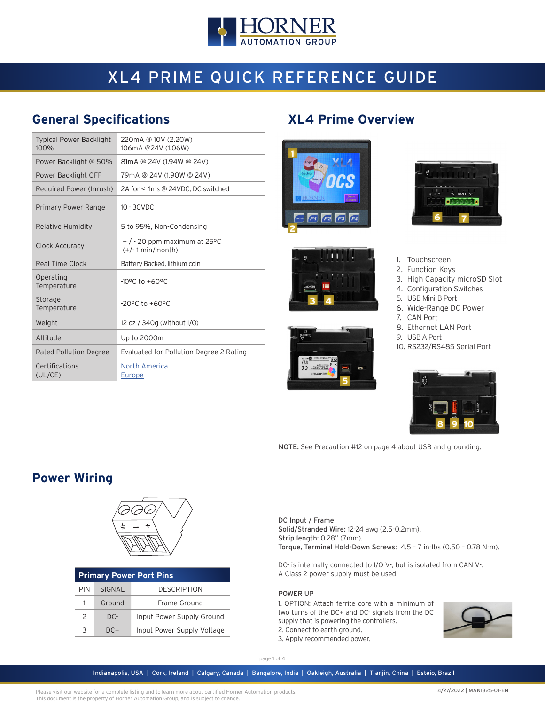

# XL4 PRIME QUICK REFERENCE GUIDE

### **General Specifications XL4 Prime Overview**

| <b>Typical Power Backlight</b><br>100% | 220mA @ 10V (2.20W)<br>106mA @24V (1.06W)                |
|----------------------------------------|----------------------------------------------------------|
| Power Backlight @ 50%                  | 81mA @ 24V (1.94W @ 24V)                                 |
| Power Backlight OFF                    | 79mA @ 24V (1.90W @ 24V)                                 |
| Required Power (Inrush)                | 2A for < 1ms @ 24VDC, DC switched                        |
| Primary Power Range                    | $10 - 30$ VDC                                            |
| Relative Humidity                      | 5 to 95%, Non-Condensing                                 |
| Clock Accuracy                         | $+$ / $-$ 20 ppm maximum at 25 °C<br>$(+/- 1 min/month)$ |
| Real Time Clock                        | Battery Backed, lithium coin                             |
| Operating<br>Temperature               | $-10^{\circ}$ C to $+60^{\circ}$ C                       |
| Storage<br>Temperature                 | $-20^{\circ}$ C to $+60^{\circ}$ C                       |
| Weight                                 | 12 oz / 340g (without I/O)                               |
| Altitude                               | Up to 2000m                                              |
| Rated Pollution Degree                 | Evaluated for Pollution Degree 2 Rating                  |
|                                        |                                                          |









**5**



- 3. High Capacity microSD Slot
- 4. Configuration Switches
- 5. USB Mini-B Port
- 6. Wide-Range DC Power
- 7. CAN Port
- 8. Ethernet LAN Port
- 9. USB A Port
- 10. RS232/RS485 Serial Port



NOTE: See Precaution #12 on page 4 about USB and grounding.

### **Power Wiring**



|               | <b>Primary Power Port Pins</b> |                            |  |  |  |  |  |  |  |  |  |
|---------------|--------------------------------|----------------------------|--|--|--|--|--|--|--|--|--|
| PIN           | <b>SIGNAL</b>                  | <b>DESCRIPTION</b>         |  |  |  |  |  |  |  |  |  |
| 1             | Ground                         | Frame Ground               |  |  |  |  |  |  |  |  |  |
| $\mathcal{P}$ | DC-                            | Input Power Supply Ground  |  |  |  |  |  |  |  |  |  |
| २             | DC+                            | Input Power Supply Voltage |  |  |  |  |  |  |  |  |  |

DC Input / Frame Solid/Stranded Wire: 12-24 awg (2.5-0.2mm). Strip length: 0.28" (7mm). Torque, Terminal Hold-Down Screws: 4.5 – 7 in-lbs (0.50 – 0.78 N-m).

DC- is internally connected to I/O V-, but is isolated from CAN V-. A Class 2 power supply must be used.

#### POWER UP

1. OPTION: Attach ferrite core with a minimum of two turns of the DC+ and DC- signals from the DC supply that is powering the controllers. 2. Connect to earth ground.

3. Apply recommended power.

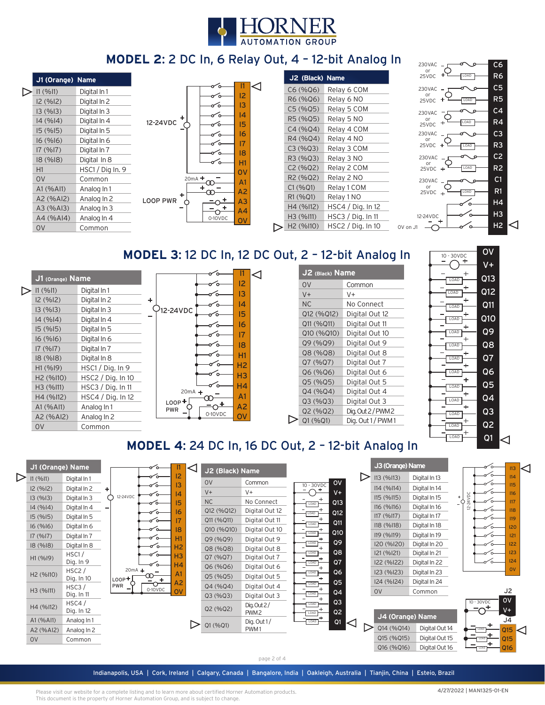

# **MODEL 2:** 2 DC In, 6 Relay Out, 4 – 12-bit Analog In

| 11 (9611) | Digital In 1     |                  |
|-----------|------------------|------------------|
| 12(%12)   | Digital In 2     |                  |
| 13(%13)   | Digital In 3     |                  |
| 14 (%14)  | Digital In 4     | 12               |
| 15(%15)   | Digital In 5     |                  |
| 16(%16)   | Digital In 6     |                  |
| 17(%17)   | Digital In 7     |                  |
| 18(%18)   | Digital In 8     |                  |
| H1        | HSC1 / Dig In. 9 |                  |
| 0V        | Common           |                  |
| A1 (%Al1) | Analog In 1      |                  |
| A2 (%AI2) | Analog In 2      | റ                |
| A3 (%AI3) | Analog In 3      |                  |
| A4 (%A14) | Analog In 4      |                  |
| OV        | Common           |                  |
|           |                  | J1 (Orange) Name |

|          |   |                      | 11              |  |
|----------|---|----------------------|-----------------|--|
|          |   |                      | 12              |  |
|          |   |                      | 13              |  |
|          | ٠ |                      | 4               |  |
|          |   |                      | 15              |  |
| 12-24VDC |   |                      | 16              |  |
|          |   |                      | 17              |  |
|          |   |                      | 8               |  |
|          |   |                      | H1              |  |
|          |   |                      | ov              |  |
|          |   | $20mA +$<br>$\Omega$ | A <sub>1</sub>  |  |
|          | ٠ |                      | A <sub>2</sub>  |  |
| LOOP PWR |   |                      | $\overline{A3}$ |  |
|          |   | ٠                    | A <sub>4</sub>  |  |
|          |   | 0-10VDC              |                 |  |
|          |   |                      |                 |  |

| J2 (Black) Name                   |                   |
|-----------------------------------|-------------------|
| C6(%Q6)                           | Relay 6 COM       |
| R6 (%06)                          | Relay 6 NO        |
| C5(%Q5)                           | Relay 5 COM       |
| R5 (%05)                          | Relay 5 NO        |
| C4 (%04)                          | Relay 4 COM       |
| R4 (%Q4)                          | Relay 4 NO        |
| C3 (%Q3)                          | Relay 3 COM       |
| R3 (%Q3)                          | Relay 3 NO        |
| C2(%Q2)                           | Relay 2 COM       |
| R <sub>2</sub> (%Q <sub>2</sub> ) | Relay 2 NO        |
| C1 (%Q1)                          | Relay 1 COM       |
| R1 (%Q1)                          | Relay 1 NO        |
| H4 (%I12)                         | HSC4 / Dig. In 12 |
| H3 (%111)                         | HSC3 / Dig. In 11 |
| H <sub>2</sub> (%110)             | HSC2 / Dig. In 10 |



**MODEL 3:** 12 DC In, 12 DC Out, 2 - 12-bit Analog In Transporter OV

| J1 (Orange) Name |                     | П<br>12                      |  |
|------------------|---------------------|------------------------------|--|
| 11 (%11)         | Digital In 1        | 13                           |  |
| 12 (%12)         | Digital In 2        | ٠<br>14                      |  |
| 13(%13)          | Digital In 3        | 12-24VDC<br>15               |  |
| 14(%14)          | Digital In 4        |                              |  |
| 15(%15)          | Digital In 5        | 16                           |  |
| 16(%16)          | Digital In 6        | 17                           |  |
| 17(%17)          | Digital In 7        | 18                           |  |
| 18(%18)          | Digital In 8        | H1                           |  |
| H1(%19)          | HSC1 / Dig. In 9    | H2                           |  |
| H2 (%110)        | HSC2 / Dig. In 10   | H <sub>3</sub>               |  |
| $H3 ($ % $11)$   | $HSC3 /$ Dig. In 11 | H4<br>$20mA +$               |  |
| H4 (%112)        | HSC4 / Dig. In 12   | A <sub>1</sub>               |  |
| A1 (% A11)       | Analog In 1         | $LOOP +$<br>A2<br><b>PWR</b> |  |
| A2 (%AI2)        | Analog In 2         | 0-10VDC<br>OΙ                |  |
| O <sub>V</sub>   | Common              |                              |  |

| J2 (Black) Name |                  |  |  |  |  |  |  |  |
|-----------------|------------------|--|--|--|--|--|--|--|
| 0V              | Common           |  |  |  |  |  |  |  |
| $V +$           | V+               |  |  |  |  |  |  |  |
| <b>NC</b>       | No Connect       |  |  |  |  |  |  |  |
| Q12 (%Q12)      | Digital Out 12   |  |  |  |  |  |  |  |
| Q11 (%Q11)      | Digital Out 11   |  |  |  |  |  |  |  |
| Q10 (%Q10)      | Digital Out 10   |  |  |  |  |  |  |  |
| Q9 (%Q9)        | Digital Out 9    |  |  |  |  |  |  |  |
| Q8 (%Q8)        | Digital Out 8    |  |  |  |  |  |  |  |
| Q7 (%Q7)        | Digital Out 7    |  |  |  |  |  |  |  |
| Q6 (%Q6)        | Digital Out 6    |  |  |  |  |  |  |  |
| Q5 (%Q5)        | Digital Out 5    |  |  |  |  |  |  |  |
| Q4 (%Q4)        | Digital Out 4    |  |  |  |  |  |  |  |
| Q3 (%Q3)        | Digital Out 3    |  |  |  |  |  |  |  |
| Q2 (%Q2)        | Dig. Out 2/PWM 2 |  |  |  |  |  |  |  |
| Q1 (%Q1)        | Dig. Out 1/PWM1  |  |  |  |  |  |  |  |



## **MODEL 4**: 24 DC In, 16 DC Out, 2 – 12-bit Analog In



Indianapolis, USA | Cork, Ireland | Calgary, Canada | Bangalore, India | Oakleigh, Australia | Tianjin, China | Esteio, Brazil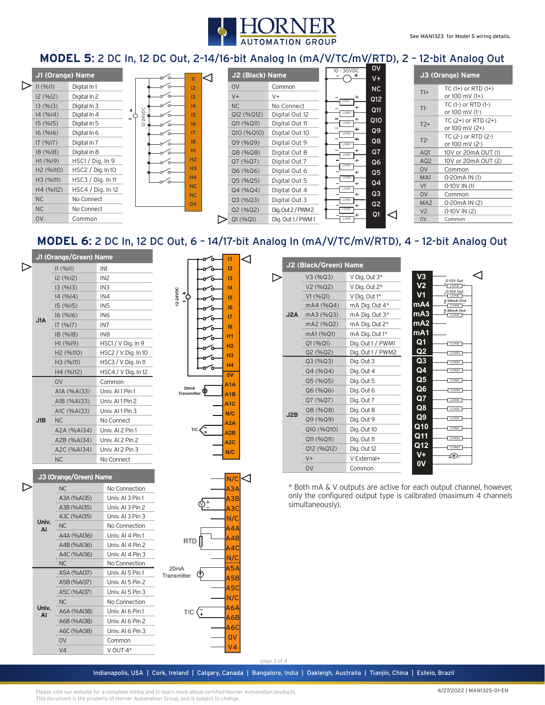

#### **MODEL 5**: 2 DC In, 12 DC Out, 2–14/16-bit Analog In (mA/V/TC/mV/RTD), 2 – 12-bit Analog Out

| J1 (Orange) Name |                       |                   | ⊲ |          |    | J2 (Black) Name  |  |            | O <sub>V</sub><br>$10 - 30VDC$<br>$V +$ |  |      | J3 (Orange) Name |   |                 |                                          |
|------------------|-----------------------|-------------------|---|----------|----|------------------|--|------------|-----------------------------------------|--|------|------------------|---|-----------------|------------------------------------------|
|                  | 11 (9611)             | Digital In 1      |   |          |    | 12               |  | <b>OV</b>  | Common                                  |  |      | NC               |   | $T1+$           | $TC(1+)$ or RTD $(1+)$                   |
|                  | 12 (%12)              | Digital In 2      |   |          |    | 13               |  | $V +$      | $V +$                                   |  |      | Q12              |   |                 | or $100 \text{ mV}$ (1+)                 |
|                  | 13(%13)               | Digital In 3      |   | 8        |    | $\overline{a}$   |  | <b>NC</b>  | No Connect                              |  | LOAD | Q11              |   | $T1-$           | $TC(1-)$ or $RTD(1-)$                    |
|                  | 14(%14)               | Digital In 4      |   |          |    | 15               |  | Q12 (%Q12) | Digital Out 12                          |  | LOAD |                  |   |                 | or 100 mV (1-)                           |
|                  | 15(%15)               | Digital In 5      |   | $\simeq$ |    | 16 <sup>16</sup> |  | Q11 (%Q11) | Digital Out 11                          |  | LOAD | Q10              |   | $T2+$           | $TC(2+)$ or RTD $(2+)$<br>or 100 mV (2+) |
|                  | 16(%16)               | Digital In 6      |   |          |    | 17               |  | Q10 (%Q10) | Digital Out 10                          |  | LOAD | Q9               |   |                 | TC (2-) or RTD (2-)                      |
|                  | 17(%17)               | Digital In 7      |   |          |    | 8                |  | Q9 (%Q9)   | Digital Out 9                           |  | LOAD | Q8               |   | $T2-$           | or 100 mV (2-)                           |
|                  | 18(%18)               | Digital In 8      |   |          | ഻൨ | HI.              |  | Q8 (%Q8)   | Digital Out 8                           |  | LOAD | Q <sub>7</sub>   |   | AQ1             | 10V or 20mA OUT (1)                      |
|                  | H1(%19)               | HSC1 / Dig. In 9  |   |          |    | H2               |  | Q7(%Q7)    | Digital Out 7                           |  | LOAD | Q6               |   | AQ <sub>2</sub> | 10V or 20mA OUT (2)                      |
|                  | H <sub>2</sub> (%110) | HSC2 / Dig. In 10 |   |          |    | H <sub>3</sub>   |  | Q6(%Q6)    | Digital Out 6                           |  |      | Q <sub>5</sub>   |   | O <sub>V</sub>  | Common                                   |
|                  | H3 (%I11)             | HSC3 / Diq. In 11 |   |          |    | H <sub>4</sub>   |  | Q5 (%Q5)   | Digital Out 5                           |  | LOAD | Q <sub>4</sub>   |   | MA <sub>1</sub> | 0-20 m A IN (1)                          |
|                  | H4 (%112)             | HSC4 / Dig. In 12 |   |          |    | <b>NC</b>        |  | Q4 (%Q4)   | Digital Out 4                           |  | LOAD |                  |   | V1              | $0-10V$ IN (1)                           |
|                  | <b>NC</b>             | No Connect        |   |          |    | NC               |  | Q3 (%Q3)   | Digital Out 3                           |  | LOAD | Q <sub>3</sub>   |   | O <sub>V</sub>  | Common                                   |
|                  |                       |                   |   |          |    | <b>OV</b>        |  |            |                                         |  |      | Q <sub>2</sub>   |   | MA <sub>2</sub> | 0-20 m A IN (2)                          |
|                  | <b>NC</b>             | No Connect        |   |          |    |                  |  | Q2(%Q2)    | Dig. Out 2/PWM 2                        |  | LOAD | Q1               | < | V <sub>2</sub>  | $0-10V$ IN (2)                           |
|                  | <b>OV</b>             | Common            |   |          |    |                  |  | Q1(%Q1)    | Dig. Out 1 / PWM1                       |  | LOAD |                  |   | <b>OV</b>       | Common                                   |

#### **MODEL 6**: 2 DC In, 12 DC Out, 6 – 14/17-bit Analog In (mA/V/TC/mV/RTD), 4 – 12-bit Analog Out

|   |                    | J1 (Orange/Green) Name |                       |                           |            | $\overline{11}$                | ◁           |     |                       |                                                                    |                  |                    |   |
|---|--------------------|------------------------|-----------------------|---------------------------|------------|--------------------------------|-------------|-----|-----------------------|--------------------------------------------------------------------|------------------|--------------------|---|
| ▷ |                    | 11 (9611)              | IN <sub>1</sub>       |                           |            | 12                             |             |     | J2 (Black/Green) Name |                                                                    |                  |                    |   |
|   |                    | I2 (%I2)               | IN <sub>2</sub>       |                           |            | 13                             |             | ▷   | V3 (%Q3)              | V Dig. Out 3*                                                      | V3               | 0-10V Out          | ⊲ |
|   |                    | 13(%13)                | IN <sub>3</sub>       |                           |            | 4                              |             |     | V2 (%Q2)              | V Dig. Out 2*                                                      | V <sub>2</sub>   | LOAD               |   |
|   |                    | 14(%14)                | IN4                   | 12-24VDC<br>$\frac{1}{2}$ |            | 15                             |             |     | V1 (%Q1)              | V Dig. Out 1*                                                      | V <sub>1</sub>   | 0-10V Out<br>LOAD  |   |
|   |                    | 15(%15)                | IN <sub>5</sub>       |                           |            | 16                             |             |     | mA4 (%Q4)             | mA Dig. Out 4*                                                     | mA4              | 0-20mA Out<br>LOAD |   |
|   |                    | 16(%16)                | IN <sub>6</sub>       |                           |            | $\overline{17}$                |             | J2A | mA3 (%Q3)             | mA Dig. Out 3*                                                     | mA3              | 0-20mA Out<br>LOAD |   |
|   | J1A                | 17(%17)                | IN7                   |                           |            | 8                              |             |     | mA2 (%Q2)             | mA Dig. Out 2*                                                     | mA2              |                    |   |
|   |                    | 18(%18)                | IN <sub>8</sub>       |                           |            | <b>H1</b>                      |             |     | mA1 (%Q1)             | mA Dig. Out 1*                                                     | mA1              |                    |   |
|   |                    | H1 (%19)               | HSC1 / V Dig. In 9    |                           |            | H <sub>2</sub>                 |             |     | Q1 (%Q1)              | Dig. Out 1 / PWM1                                                  | Q <sub>1</sub>   | LOAD               |   |
|   |                    | H2 (%I10)              | HSC2 / V Dig. In 10   |                           |            | H <sub>3</sub>                 |             |     | Q2 (%Q2)              | Dig. Out 1 / PWM2                                                  | Q2               | LOAD               |   |
|   |                    | H3 (%I11)              | HSC3 / V Dig. In 11   |                           |            | <b>H4</b>                      |             |     | Q3 (%Q3)              | Dig. Out 3                                                         | Q3               | LOAD               |   |
|   |                    | H4 (%I12)              | $HSC4 / V$ Dig. In 12 |                           |            | $\overline{ov}$                |             |     | Q4 (%Q4)              | Dig. Out 4                                                         | Q <sub>4</sub>   | LOAD               |   |
|   |                    | <b>OV</b>              | Common                |                           |            | A <sub>1</sub> A               |             |     | Q5 (%Q5)              | Dig. Out 5                                                         | Q <sub>5</sub>   | LOAD               |   |
|   |                    | A1A (%AI33)            | Univ. Al 1 Pin 1      | 20mA<br>Transmitter       | Φ          | A <sub>1</sub> B               |             |     | Q6 (%Q6)              | Dig. Out 6                                                         | Q <sub>6</sub>   | LOAD               |   |
|   |                    | A1B (%AI33)            | Univ. Al 1 Pin 2      |                           |            | A <sub>1</sub> C               |             |     | Q7 (%Q7)              | Dig. Out 7                                                         | Q7               | LOAD               |   |
|   |                    | A1C (%AI33)            | Univ. Al 1 Pin 3      |                           |            | N/C<br>A <sub>2</sub> A<br>A2B |             |     | Q8 (%Q8)              | Dig. Out 8                                                         | Q8               | LOAD               |   |
|   | J1B                | <b>NC</b>              | No Connect            |                           |            |                                |             | J2B | Q9 (%Q9)              | Dig. Out 9                                                         | Q9               | LOAD<br>LOAD       |   |
|   |                    | A2A (%AI34)            | Univ. AI 2 Pin 1      |                           |            |                                |             |     | Q10 (%Q10)            | Dig. Out 10                                                        | Q10              |                    |   |
|   |                    | A2B (%AI34)            | Univ. AI 2 Pin 2      |                           |            | A <sub>2</sub> C               |             |     | Q11 (%Q11)            | Dig. Out 11                                                        | Q11              | LOAD               |   |
|   |                    | A2C (%AI34)            | Univ. AI 2 Pin 3      |                           | N/C        |                                |             |     | Q12 (%Q12)            | Dig. Out 12                                                        | $\overline{Q12}$ | LOAD               |   |
|   |                    | <b>NC</b>              | No Connect            |                           |            |                                |             |     | $V +$                 | V External+                                                        | $V+$             | Q.                 |   |
|   |                    |                        |                       |                           |            |                                |             |     | <b>OV</b>             | Common                                                             | 0V               |                    |   |
|   |                    | J3 (Orange/Green) Name |                       |                           | N/C        |                                |             |     |                       |                                                                    |                  |                    |   |
| ▷ |                    | <b>NC</b>              | No Connection         |                           |            | АЗА                            |             |     |                       | * Both mA & V outputs are active for each output channel, however, |                  |                    |   |
|   |                    | A3A (%AI35)            | Univ. AI 3 Pin 1      |                           |            | A3B                            |             |     |                       | only the configured output type is calibrated (maximum 4 channels  |                  |                    |   |
|   |                    | A3B (%AI35)            | Univ. Al 3 Pin 2      |                           | φ±         | A3C                            |             |     | simultaneously).      |                                                                    |                  |                    |   |
|   |                    | A3C (%AI35)            | Univ. Al 3 Pin 3      |                           |            | N/C                            |             |     |                       |                                                                    |                  |                    |   |
|   | Univ.<br>AI        | <b>NC</b>              | No Connection         |                           |            | <b>A4A</b>                     |             |     |                       |                                                                    |                  |                    |   |
|   |                    | A4A (%AI36)            | Univ. Al 4 Pin 1      |                           | <b>RTD</b> | AAB                            |             |     |                       |                                                                    |                  |                    |   |
|   |                    | A4B (%Al36)            | Univ. Al 4 Pin 2      |                           |            | A4C                            |             |     |                       |                                                                    |                  |                    |   |
|   |                    | A4C (%AI36)            | Univ. Al 4 Pin 3      |                           |            | N/C                            |             |     |                       |                                                                    |                  |                    |   |
|   |                    | <b>NC</b>              | No Connection         | 20 <sub>m</sub> A         |            | A5A                            |             |     |                       |                                                                    |                  |                    |   |
|   |                    | A5A (%AI37)            | Univ. AI 5 Pin 1      | Transmitter               | ℗          | A5B                            |             |     |                       |                                                                    |                  |                    |   |
|   |                    | A5B (%AI37)            | Univ. Al 5 Pin 2      |                           |            | A5C                            |             |     |                       |                                                                    |                  |                    |   |
|   |                    | A5C (%AI37)            | Univ. Al 5 Pin 3      |                           |            | N/C                            |             |     |                       |                                                                    |                  |                    |   |
|   |                    | <b>NC</b>              | No Connection         |                           |            |                                |             |     |                       |                                                                    |                  |                    |   |
|   | Univ.<br><b>AI</b> | A6A (%AI38)            | Univ. AI 6 Pin 1      | T/C                       | ∕∓         | A6A                            |             |     |                       |                                                                    |                  |                    |   |
|   |                    | A6B (%AI38)            | Univ. AI 6 Pin 2      |                           |            | A6B                            |             |     |                       |                                                                    |                  |                    |   |
|   |                    | A6C (%AI38)            | Univ. AI 6 Pin 3      |                           |            | <b>A6C</b>                     |             |     |                       |                                                                    |                  |                    |   |
|   |                    | <b>OV</b>              | Common                |                           |            | <b>OV</b>                      |             |     |                       |                                                                    |                  |                    |   |
|   |                    | V <sub>4</sub>         | V OUT 4*              |                           |            | ۷4                             |             |     |                       |                                                                    |                  |                    |   |
|   |                    |                        |                       |                           |            |                                | page 3 of 4 |     |                       |                                                                    |                  |                    |   |

Indianapolis, USA | Cork, Ireland | Calgary, Canada | Bangalore, India | Oakleigh, Australia | Tianjin, China | Esteio, Brazil